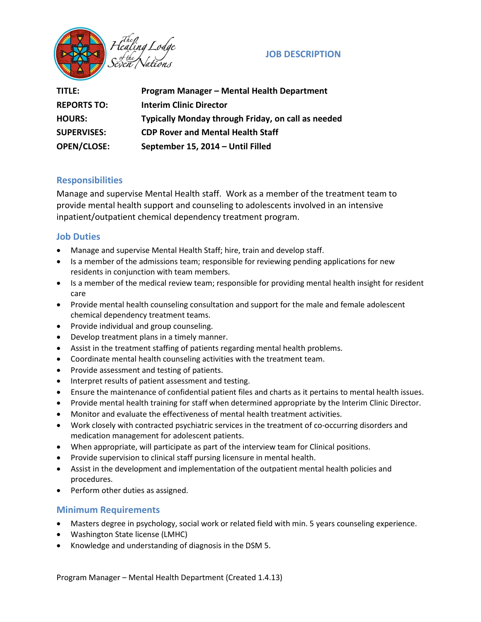

## **JOB DESCRIPTION**

| TITLE:             | Program Manager - Mental Health Department         |
|--------------------|----------------------------------------------------|
| <b>REPORTS TO:</b> | <b>Interim Clinic Director</b>                     |
| <b>HOURS:</b>      | Typically Monday through Friday, on call as needed |
| <b>SUPERVISES:</b> | <b>CDP Rover and Mental Health Staff</b>           |
| <b>OPEN/CLOSE:</b> | September 15, 2014 - Until Filled                  |

## **Responsibilities**

Manage and supervise Mental Health staff. Work as a member of the treatment team to provide mental health support and counseling to adolescents involved in an intensive inpatient/outpatient chemical dependency treatment program.

## **Job Duties**

- Manage and supervise Mental Health Staff; hire, train and develop staff.
- Is a member of the admissions team; responsible for reviewing pending applications for new residents in conjunction with team members.
- Is a member of the medical review team; responsible for providing mental health insight for resident care
- Provide mental health counseling consultation and support for the male and female adolescent chemical dependency treatment teams.
- Provide individual and group counseling.
- Develop treatment plans in a timely manner.
- Assist in the treatment staffing of patients regarding mental health problems.
- Coordinate mental health counseling activities with the treatment team.
- Provide assessment and testing of patients.
- Interpret results of patient assessment and testing.
- Ensure the maintenance of confidential patient files and charts as it pertains to mental health issues.
- Provide mental health training for staff when determined appropriate by the Interim Clinic Director.
- Monitor and evaluate the effectiveness of mental health treatment activities.
- Work closely with contracted psychiatric services in the treatment of co-occurring disorders and medication management for adolescent patients.
- When appropriate, will participate as part of the interview team for Clinical positions.
- Provide supervision to clinical staff pursing licensure in mental health.
- Assist in the development and implementation of the outpatient mental health policies and procedures.
- Perform other duties as assigned.

### **Minimum Requirements**

- Masters degree in psychology, social work or related field with min. 5 years counseling experience.
- Washington State license (LMHC)
- Knowledge and understanding of diagnosis in the DSM 5.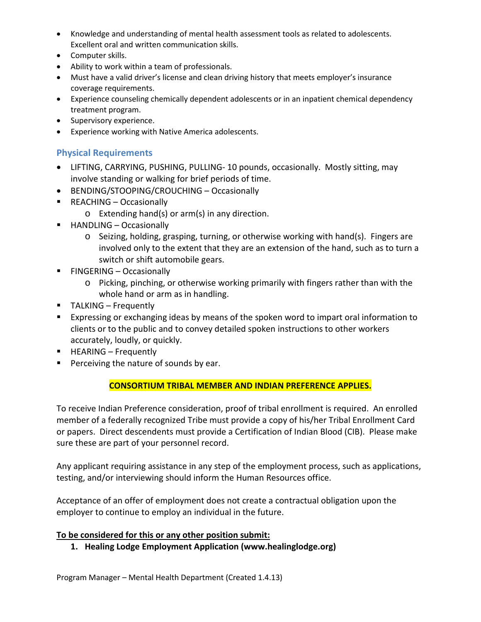- Knowledge and understanding of mental health assessment tools as related to adolescents. Excellent oral and written communication skills.
- Computer skills.
- Ability to work within a team of professionals.
- Must have a valid driver's license and clean driving history that meets employer's insurance coverage requirements.
- Experience counseling chemically dependent adolescents or in an inpatient chemical dependency treatment program.
- Supervisory experience.
- Experience working with Native America adolescents.

# **Physical Requirements**

- LIFTING, CARRYING, PUSHING, PULLING- 10 pounds, occasionally. Mostly sitting, may involve standing or walking for brief periods of time.
- BENDING/STOOPING/CROUCHING Occasionally
- REACHING Occasionally
	- o Extending hand(s) or arm(s) in any direction.
- HANDLING Occasionally
	- o Seizing, holding, grasping, turning, or otherwise working with hand(s). Fingers are involved only to the extent that they are an extension of the hand, such as to turn a switch or shift automobile gears.
- **FINGERING Occasionally** 
	- o Picking, pinching, or otherwise working primarily with fingers rather than with the whole hand or arm as in handling.
- TALKING Frequently
- Expressing or exchanging ideas by means of the spoken word to impart oral information to clients or to the public and to convey detailed spoken instructions to other workers accurately, loudly, or quickly.
- **HEARING Frequently**
- **Perceiving the nature of sounds by ear.**

# **CONSORTIUM TRIBAL MEMBER AND INDIAN PREFERENCE APPLIES.**

To receive Indian Preference consideration, proof of tribal enrollment is required. An enrolled member of a federally recognized Tribe must provide a copy of his/her Tribal Enrollment Card or papers. Direct descendents must provide a Certification of Indian Blood (CIB). Please make sure these are part of your personnel record.

Any applicant requiring assistance in any step of the employment process, such as applications, testing, and/or interviewing should inform the Human Resources office.

Acceptance of an offer of employment does not create a contractual obligation upon the employer to continue to employ an individual in the future.

### **To be considered for this or any other position submit:**

**1. Healing Lodge Employment Application (www.healinglodge.org)**

Program Manager – Mental Health Department (Created 1.4.13)